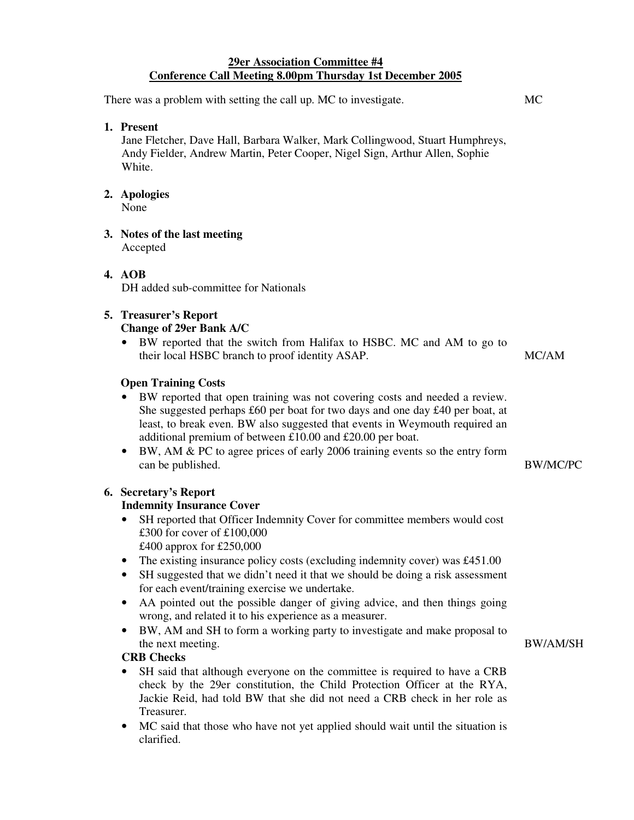### **29er Association Committee #4 Conference Call Meeting 8.00pm Thursday 1st December 2005**

| There was a problem with setting the call up. MC to investigate. |                                                                                                                                                                                           | MC    |
|------------------------------------------------------------------|-------------------------------------------------------------------------------------------------------------------------------------------------------------------------------------------|-------|
|                                                                  | 1. Present<br>Jane Fletcher, Dave Hall, Barbara Walker, Mark Collingwood, Stuart Humphreys,<br>Andy Fielder, Andrew Martin, Peter Cooper, Nigel Sign, Arthur Allen, Sophie<br>White.      |       |
|                                                                  | 2. Apologies<br>None                                                                                                                                                                      |       |
|                                                                  | 3. Notes of the last meeting<br>Accepted                                                                                                                                                  |       |
|                                                                  | 4. AOB<br>DH added sub-committee for Nationals                                                                                                                                            |       |
|                                                                  | <b>5. Treasurer's Report</b><br><b>Change of 29er Bank A/C</b><br>BW reported that the switch from Halifax to HSBC. MC and AM to go to<br>their local HSBC branch to proof identity ASAP. | MC/AM |

## **Open Training Costs**

- BW reported that open training was not covering costs and needed a review. She suggested perhaps £60 per boat for two days and one day £40 per boat, at least, to break even. BW also suggested that events in Weymouth required an additional premium of between £10.00 and £20.00 per boat.
- BW, AM & PC to agree prices of early 2006 training events so the entry form can be published. BW/MC/PC

## **6. Secretary's Report**

#### **Indemnity Insurance Cover**

- SH reported that Officer Indemnity Cover for committee members would cost £300 for cover of £100,000 £400 approx for £250,000
- The existing insurance policy costs (excluding indemnity cover) was £451.00
- SH suggested that we didn't need it that we should be doing a risk assessment for each event/training exercise we undertake.
- AA pointed out the possible danger of giving advice, and then things going wrong, and related it to his experience as a measurer.
- BW, AM and SH to form a working party to investigate and make proposal to the next meeting. BW/AM/SH

#### **CRB Checks**

- SH said that although everyone on the committee is required to have a CRB check by the 29er constitution, the Child Protection Officer at the RYA, Jackie Reid, had told BW that she did not need a CRB check in her role as Treasurer.
- MC said that those who have not yet applied should wait until the situation is clarified.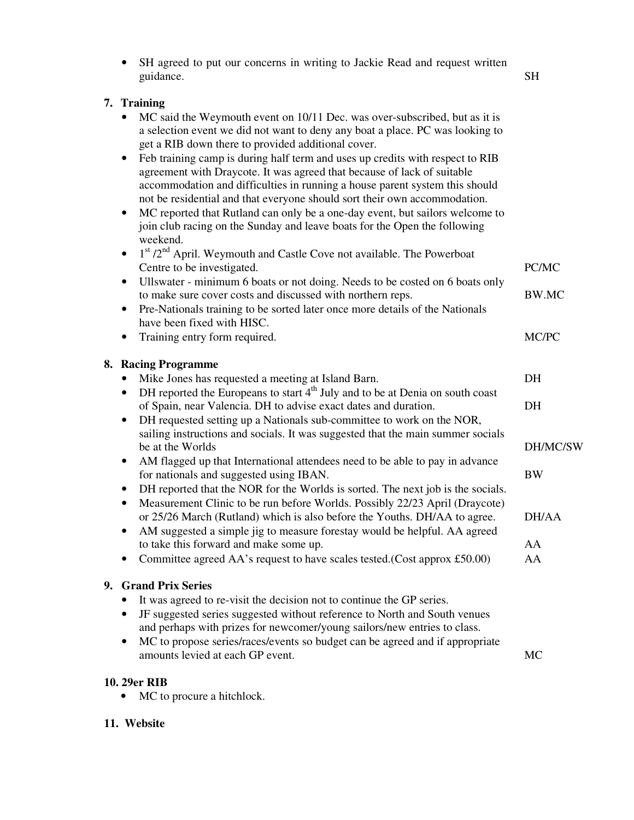|    | SH agreed to put our concerns in writing to Jackie Read and request written<br>guidance.                                                                                                                                                                                                                                                                                                                                                                                                                                                                                                                                                                                                                                                                                                                                                                                                                                                                                                                                                    | <b>SH</b>                                              |
|----|---------------------------------------------------------------------------------------------------------------------------------------------------------------------------------------------------------------------------------------------------------------------------------------------------------------------------------------------------------------------------------------------------------------------------------------------------------------------------------------------------------------------------------------------------------------------------------------------------------------------------------------------------------------------------------------------------------------------------------------------------------------------------------------------------------------------------------------------------------------------------------------------------------------------------------------------------------------------------------------------------------------------------------------------|--------------------------------------------------------|
|    | 7. Training<br>MC said the Weymouth event on 10/11 Dec. was over-subscribed, but as it is<br>a selection event we did not want to deny any boat a place. PC was looking to<br>get a RIB down there to provided additional cover.<br>Feb training camp is during half term and uses up credits with respect to RIB<br>٠<br>agreement with Draycote. It was agreed that because of lack of suitable<br>accommodation and difficulties in running a house parent system this should<br>not be residential and that everyone should sort their own accommodation.<br>MC reported that Rutland can only be a one-day event, but sailors welcome to<br>٠<br>join club racing on the Sunday and leave boats for the Open the following<br>weekend.                                                                                                                                                                                                                                                                                                 |                                                        |
|    | 1st /2 <sup>nd</sup> April. Weymouth and Castle Cove not available. The Powerboat<br>$\bullet$<br>Centre to be investigated.                                                                                                                                                                                                                                                                                                                                                                                                                                                                                                                                                                                                                                                                                                                                                                                                                                                                                                                | PC/MC                                                  |
|    | Ullswater - minimum 6 boats or not doing. Needs to be costed on 6 boats only<br>$\bullet$<br>to make sure cover costs and discussed with northern reps.<br>Pre-Nationals training to be sorted later once more details of the Nationals<br>$\bullet$                                                                                                                                                                                                                                                                                                                                                                                                                                                                                                                                                                                                                                                                                                                                                                                        | <b>BW.MC</b>                                           |
|    | have been fixed with HISC.<br>Training entry form required.<br>٠                                                                                                                                                                                                                                                                                                                                                                                                                                                                                                                                                                                                                                                                                                                                                                                                                                                                                                                                                                            | MC/PC                                                  |
|    | 8. Racing Programme<br>Mike Jones has requested a meeting at Island Barn.<br>DH reported the Europeans to start 4 <sup>th</sup> July and to be at Denia on south coast<br>٠<br>of Spain, near Valencia. DH to advise exact dates and duration.<br>DH requested setting up a Nationals sub-committee to work on the NOR,<br>$\bullet$<br>sailing instructions and socials. It was suggested that the main summer socials<br>be at the Worlds<br>AM flagged up that International attendees need to be able to pay in advance<br>٠<br>for nationals and suggested using IBAN.<br>DH reported that the NOR for the Worlds is sorted. The next job is the socials.<br>$\bullet$<br>Measurement Clinic to be run before Worlds. Possibly 22/23 April (Draycote)<br>or 25/26 March (Rutland) which is also before the Youths. DH/AA to agree.<br>AM suggested a simple jig to measure forestay would be helpful. AA agreed<br>to take this forward and make some up.<br>Committee agreed AA's request to have scales tested. (Cost approx £50.00) | DH<br>DH<br>DH/MC/SW<br><b>BW</b><br>DH/AA<br>AA<br>AA |
| 9. | <b>Grand Prix Series</b><br>It was agreed to re-visit the decision not to continue the GP series.<br>JF suggested series suggested without reference to North and South venues<br>$\bullet$<br>and perhaps with prizes for newcomer/young sailors/new entries to class.<br>MC to propose series/races/events so budget can be agreed and if appropriate<br>٠<br>amounts levied at each GP event.                                                                                                                                                                                                                                                                                                                                                                                                                                                                                                                                                                                                                                            | MC                                                     |

# **10. 29er RIB**

• MC to procure a hitchlock.

## **11. Website**